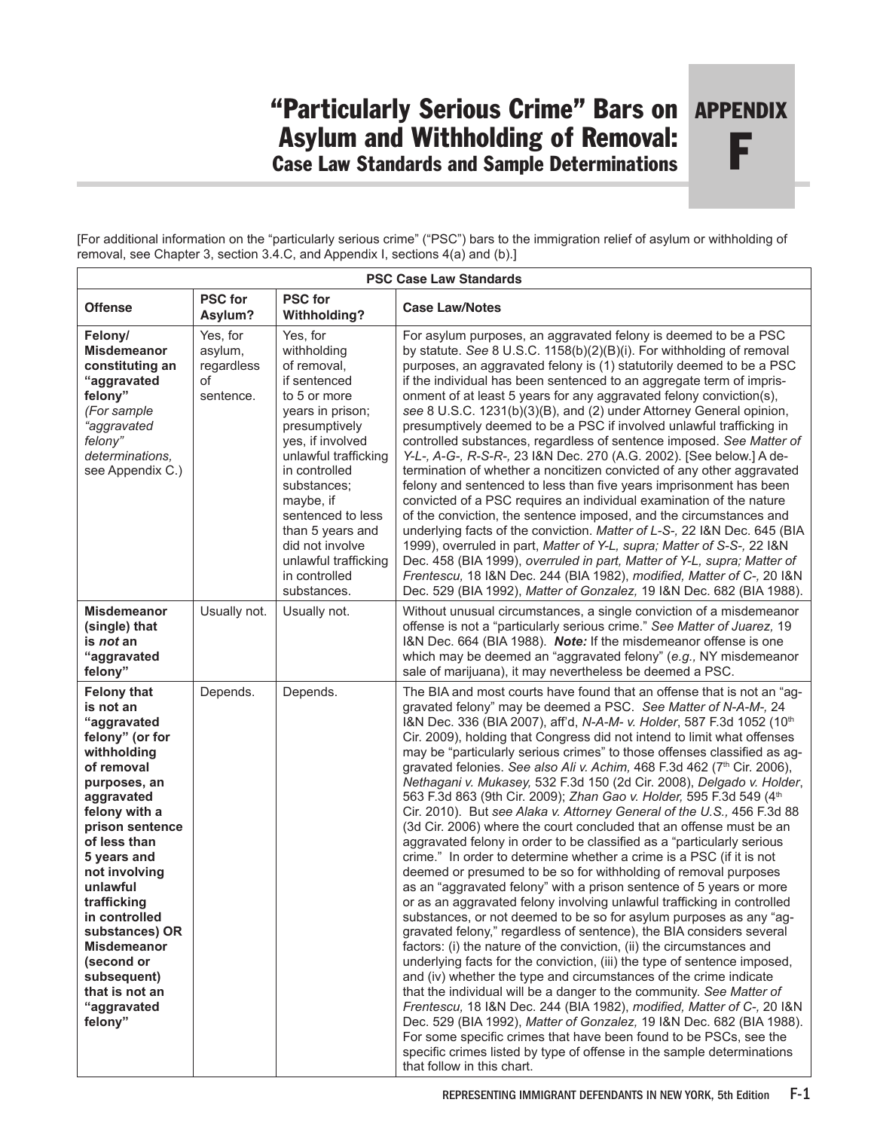## "Particularly Serious Crime" Bars on APPENDIX Asylum and Withholding of Removal: Case Law Standards and Sample Determinations

F

[For additional information on the "particularly serious crime" ("PSC") bars to the immigration relief of asylum or withholding of removal, see Chapter 3, section 3.4.C, and Appendix I, sections 4(a) and (b).]

| <b>PSC Case Law Standards</b>                                                                                                                                                                                                                                                                                                                                                 |                                                      |                                                                                                                                                                                                                                                                                                                          |                                                                                                                                                                                                                                                                                                                                                                                                                                                                                                                                                                                                                                                                                                                                                                                                                                                                                                                                                                                                                                                                                                                                                                                                                                                                                                                                                                                                                                                                                                                                                                                                                                                                                                                                                                                                                                                                                                                       |
|-------------------------------------------------------------------------------------------------------------------------------------------------------------------------------------------------------------------------------------------------------------------------------------------------------------------------------------------------------------------------------|------------------------------------------------------|--------------------------------------------------------------------------------------------------------------------------------------------------------------------------------------------------------------------------------------------------------------------------------------------------------------------------|-----------------------------------------------------------------------------------------------------------------------------------------------------------------------------------------------------------------------------------------------------------------------------------------------------------------------------------------------------------------------------------------------------------------------------------------------------------------------------------------------------------------------------------------------------------------------------------------------------------------------------------------------------------------------------------------------------------------------------------------------------------------------------------------------------------------------------------------------------------------------------------------------------------------------------------------------------------------------------------------------------------------------------------------------------------------------------------------------------------------------------------------------------------------------------------------------------------------------------------------------------------------------------------------------------------------------------------------------------------------------------------------------------------------------------------------------------------------------------------------------------------------------------------------------------------------------------------------------------------------------------------------------------------------------------------------------------------------------------------------------------------------------------------------------------------------------------------------------------------------------------------------------------------------------|
| Offense                                                                                                                                                                                                                                                                                                                                                                       | <b>PSC for</b><br>Asylum?                            | <b>PSC</b> for<br><b>Withholding?</b>                                                                                                                                                                                                                                                                                    | <b>Case Law/Notes</b>                                                                                                                                                                                                                                                                                                                                                                                                                                                                                                                                                                                                                                                                                                                                                                                                                                                                                                                                                                                                                                                                                                                                                                                                                                                                                                                                                                                                                                                                                                                                                                                                                                                                                                                                                                                                                                                                                                 |
| Felony/<br><b>Misdemeanor</b><br>constituting an<br>"aggravated<br>felony"<br>(For sample<br>"aggravated<br>felony"<br>determinations,<br>see Appendix C.)                                                                                                                                                                                                                    | Yes, for<br>asylum,<br>regardless<br>of<br>sentence. | Yes, for<br>withholding<br>of removal,<br>if sentenced<br>to 5 or more<br>years in prison;<br>presumptively<br>yes, if involved<br>unlawful trafficking<br>in controlled<br>substances;<br>maybe, if<br>sentenced to less<br>than 5 years and<br>did not involve<br>unlawful trafficking<br>in controlled<br>substances. | For asylum purposes, an aggravated felony is deemed to be a PSC<br>by statute. See 8 U.S.C. 1158(b)(2)(B)(i). For withholding of removal<br>purposes, an aggravated felony is (1) statutorily deemed to be a PSC<br>if the individual has been sentenced to an aggregate term of impris-<br>onment of at least 5 years for any aggravated felony conviction(s),<br>see 8 U.S.C. 1231(b)(3)(B), and (2) under Attorney General opinion,<br>presumptively deemed to be a PSC if involved unlawful trafficking in<br>controlled substances, regardless of sentence imposed. See Matter of<br>Y-L-, A-G-, R-S-R-, 23 I&N Dec. 270 (A.G. 2002). [See below.] A de-<br>termination of whether a noncitizen convicted of any other aggravated<br>felony and sentenced to less than five years imprisonment has been<br>convicted of a PSC requires an individual examination of the nature<br>of the conviction, the sentence imposed, and the circumstances and<br>underlying facts of the conviction. Matter of L-S-, 22 I&N Dec. 645 (BIA<br>1999), overruled in part, Matter of Y-L, supra; Matter of S-S-, 22 I&N<br>Dec. 458 (BIA 1999), overruled in part, Matter of Y-L, supra; Matter of<br>Frentescu, 18 I&N Dec. 244 (BIA 1982), modified, Matter of C-, 20 I&N<br>Dec. 529 (BIA 1992), Matter of Gonzalez, 19 I&N Dec. 682 (BIA 1988).                                                                                                                                                                                                                                                                                                                                                                                                                                                                                                                                                                           |
| Misdemeanor<br>(single) that<br>is <i>not</i> an<br>"aggravated<br>felony"                                                                                                                                                                                                                                                                                                    | Usually not.                                         | Usually not.                                                                                                                                                                                                                                                                                                             | Without unusual circumstances, a single conviction of a misdemeanor<br>offense is not a "particularly serious crime." See Matter of Juarez, 19<br>I&N Dec. 664 (BIA 1988). Note: If the misdemeanor offense is one<br>which may be deemed an "aggravated felony" (e.g., NY misdemeanor<br>sale of marijuana), it may nevertheless be deemed a PSC.                                                                                                                                                                                                                                                                                                                                                                                                                                                                                                                                                                                                                                                                                                                                                                                                                                                                                                                                                                                                                                                                                                                                                                                                                                                                                                                                                                                                                                                                                                                                                                    |
| <b>Felony that</b><br>is not an<br>"aggravated<br>felony" (or for<br>withholding<br>of removal<br>purposes, an<br>aggravated<br>felony with a<br>prison sentence<br>of less than<br>5 years and<br>not involving<br>unlawful<br>trafficking<br>in controlled<br>substances) OR<br><b>Misdemeanor</b><br>(second or<br>subsequent)<br>that is not an<br>"aggravated<br>felony" | Depends.                                             | Depends.                                                                                                                                                                                                                                                                                                                 | The BIA and most courts have found that an offense that is not an "ag-<br>gravated felony" may be deemed a PSC. See Matter of N-A-M-, 24<br>I&N Dec. 336 (BIA 2007), aff'd, N-A-M- v. Holder, 587 F.3d 1052 (10th<br>Cir. 2009), holding that Congress did not intend to limit what offenses<br>may be "particularly serious crimes" to those offenses classified as ag-<br>gravated felonies. See also Ali v. Achim, 468 F.3d 462 (7 <sup>th</sup> Cir. 2006),<br>Nethagani v. Mukasey, 532 F.3d 150 (2d Cir. 2008), Delgado v. Holder,<br>563 F.3d 863 (9th Cir. 2009); Zhan Gao v. Holder, 595 F.3d 549 (4th<br>Cir. 2010). But see Alaka v. Attorney General of the U.S., 456 F.3d 88<br>(3d Cir. 2006) where the court concluded that an offense must be an<br>aggravated felony in order to be classified as a "particularly serious<br>crime." In order to determine whether a crime is a PSC (if it is not<br>deemed or presumed to be so for withholding of removal purposes<br>as an "aggravated felony" with a prison sentence of 5 years or more<br>or as an aggravated felony involving unlawful trafficking in controlled<br>substances, or not deemed to be so for asylum purposes as any "ag-<br>gravated felony," regardless of sentence), the BIA considers several<br>factors: (i) the nature of the conviction, (ii) the circumstances and<br>underlying facts for the conviction, (iii) the type of sentence imposed,<br>and (iv) whether the type and circumstances of the crime indicate<br>that the individual will be a danger to the community. See Matter of<br>Frentescu, 18 I&N Dec. 244 (BIA 1982), modified, Matter of C-, 20 I&N<br>Dec. 529 (BIA 1992), Matter of Gonzalez, 19 I&N Dec. 682 (BIA 1988).<br>For some specific crimes that have been found to be PSCs, see the<br>specific crimes listed by type of offense in the sample determinations<br>that follow in this chart. |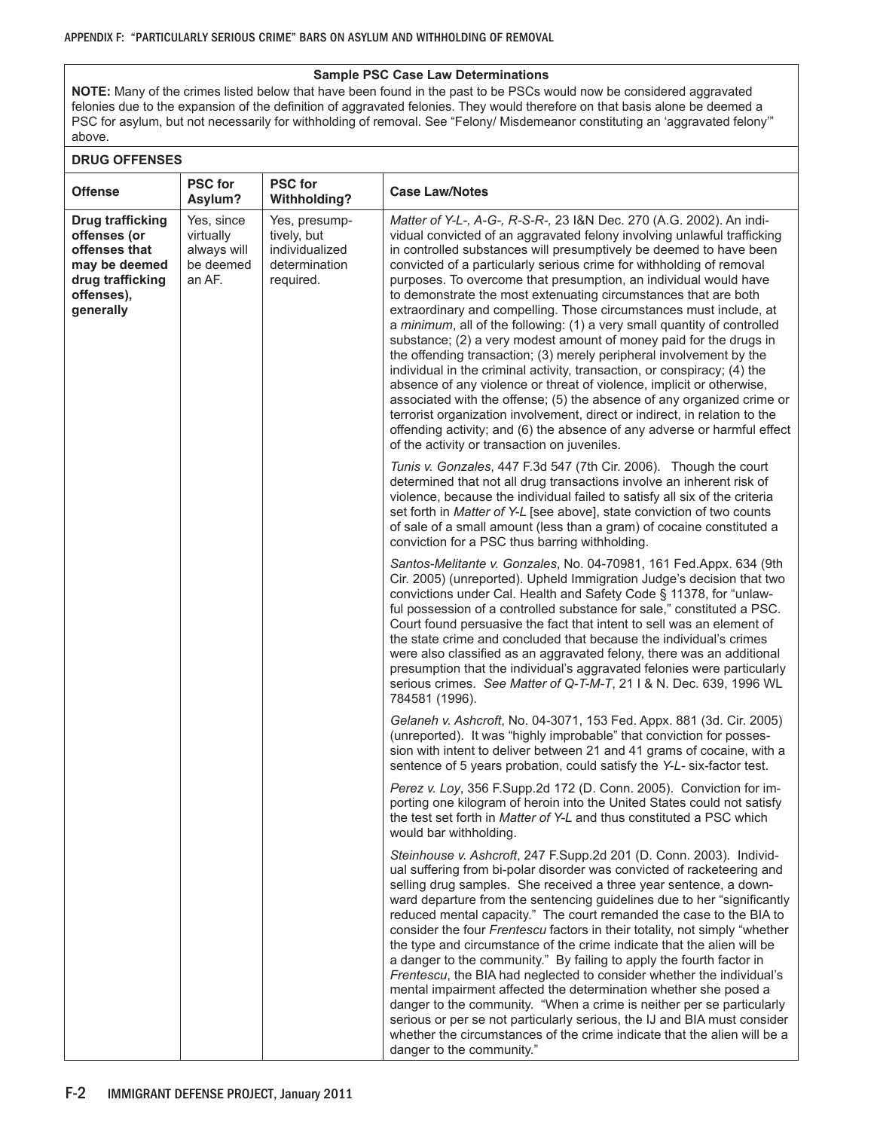## **Sample PSC Case Law Determinations**

**NOTE:** Many of the crimes listed below that have been found in the past to be PSCs would now be considered aggravated felonies due to the expansion of the definition of aggravated felonies. They would therefore on that basis alone be deemed a PSC for asylum, but not necessarily for withholding of removal. See "Felony/ Misdemeanor constituting an 'aggravated felony'" above.

| <b>DRUG OFFENSES</b>                                                                                                     |                                                               |                                                                              |                                                                                                                                                                                                                                                                                                                                                                                                                                                                                                                                                                                                                                                                                                                                                                                                                                                                                                                                                                                                                                                                                                                                                                             |  |
|--------------------------------------------------------------------------------------------------------------------------|---------------------------------------------------------------|------------------------------------------------------------------------------|-----------------------------------------------------------------------------------------------------------------------------------------------------------------------------------------------------------------------------------------------------------------------------------------------------------------------------------------------------------------------------------------------------------------------------------------------------------------------------------------------------------------------------------------------------------------------------------------------------------------------------------------------------------------------------------------------------------------------------------------------------------------------------------------------------------------------------------------------------------------------------------------------------------------------------------------------------------------------------------------------------------------------------------------------------------------------------------------------------------------------------------------------------------------------------|--|
| <b>Offense</b>                                                                                                           | <b>PSC for</b><br>Asylum?                                     | <b>PSC for</b><br><b>Withholding?</b>                                        | <b>Case Law/Notes</b>                                                                                                                                                                                                                                                                                                                                                                                                                                                                                                                                                                                                                                                                                                                                                                                                                                                                                                                                                                                                                                                                                                                                                       |  |
| <b>Drug trafficking</b><br>offenses (or<br>offenses that<br>may be deemed<br>drug trafficking<br>offenses),<br>generally | Yes, since<br>virtually<br>always will<br>be deemed<br>an AF. | Yes, presump-<br>tively, but<br>individualized<br>determination<br>required. | Matter of Y-L-, A-G-, R-S-R-, 23 I&N Dec. 270 (A.G. 2002). An indi-<br>vidual convicted of an aggravated felony involving unlawful trafficking<br>in controlled substances will presumptively be deemed to have been<br>convicted of a particularly serious crime for withholding of removal<br>purposes. To overcome that presumption, an individual would have<br>to demonstrate the most extenuating circumstances that are both<br>extraordinary and compelling. Those circumstances must include, at<br>a minimum, all of the following: (1) a very small quantity of controlled<br>substance; (2) a very modest amount of money paid for the drugs in<br>the offending transaction; (3) merely peripheral involvement by the<br>individual in the criminal activity, transaction, or conspiracy; (4) the<br>absence of any violence or threat of violence, implicit or otherwise,<br>associated with the offense; (5) the absence of any organized crime or<br>terrorist organization involvement, direct or indirect, in relation to the<br>offending activity; and (6) the absence of any adverse or harmful effect<br>of the activity or transaction on juveniles. |  |
|                                                                                                                          |                                                               |                                                                              | Tunis v. Gonzales, 447 F.3d 547 (7th Cir. 2006). Though the court<br>determined that not all drug transactions involve an inherent risk of<br>violence, because the individual failed to satisfy all six of the criteria<br>set forth in Matter of Y-L [see above], state conviction of two counts<br>of sale of a small amount (less than a gram) of cocaine constituted a<br>conviction for a PSC thus barring withholding.                                                                                                                                                                                                                                                                                                                                                                                                                                                                                                                                                                                                                                                                                                                                               |  |
|                                                                                                                          |                                                               |                                                                              | Santos-Melitante v. Gonzales, No. 04-70981, 161 Fed.Appx. 634 (9th<br>Cir. 2005) (unreported). Upheld Immigration Judge's decision that two<br>convictions under Cal. Health and Safety Code § 11378, for "unlaw-<br>ful possession of a controlled substance for sale," constituted a PSC.<br>Court found persuasive the fact that intent to sell was an element of<br>the state crime and concluded that because the individual's crimes<br>were also classified as an aggravated felony, there was an additional<br>presumption that the individual's aggravated felonies were particularly<br>serious crimes. See Matter of Q-T-M-T, 21 I & N. Dec. 639, 1996 WL<br>784581 (1996).                                                                                                                                                                                                                                                                                                                                                                                                                                                                                      |  |
|                                                                                                                          |                                                               |                                                                              | Gelaneh v. Ashcroft, No. 04-3071, 153 Fed. Appx. 881 (3d. Cir. 2005)<br>(unreported). It was "highly improbable" that conviction for posses-<br>sion with intent to deliver between 21 and 41 grams of cocaine, with a<br>sentence of 5 years probation, could satisfy the Y-L- six-factor test.                                                                                                                                                                                                                                                                                                                                                                                                                                                                                                                                                                                                                                                                                                                                                                                                                                                                            |  |
|                                                                                                                          |                                                               |                                                                              | Perez v. Loy, 356 F.Supp.2d 172 (D. Conn. 2005). Conviction for im-<br>porting one kilogram of heroin into the United States could not satisfy<br>the test set forth in Matter of Y-L and thus constituted a PSC which<br>would bar withholding.                                                                                                                                                                                                                                                                                                                                                                                                                                                                                                                                                                                                                                                                                                                                                                                                                                                                                                                            |  |
|                                                                                                                          |                                                               |                                                                              | Steinhouse v. Ashcroft, 247 F.Supp.2d 201 (D. Conn. 2003). Individ-<br>ual suffering from bi-polar disorder was convicted of racketeering and<br>selling drug samples. She received a three year sentence, a down-<br>ward departure from the sentencing guidelines due to her "significantly<br>reduced mental capacity." The court remanded the case to the BIA to<br>consider the four Frentescu factors in their totality, not simply "whether<br>the type and circumstance of the crime indicate that the alien will be<br>a danger to the community." By failing to apply the fourth factor in<br>Frentescu, the BIA had neglected to consider whether the individual's<br>mental impairment affected the determination whether she posed a<br>danger to the community. "When a crime is neither per se particularly<br>serious or per se not particularly serious, the IJ and BIA must consider<br>whether the circumstances of the crime indicate that the alien will be a<br>danger to the community."                                                                                                                                                             |  |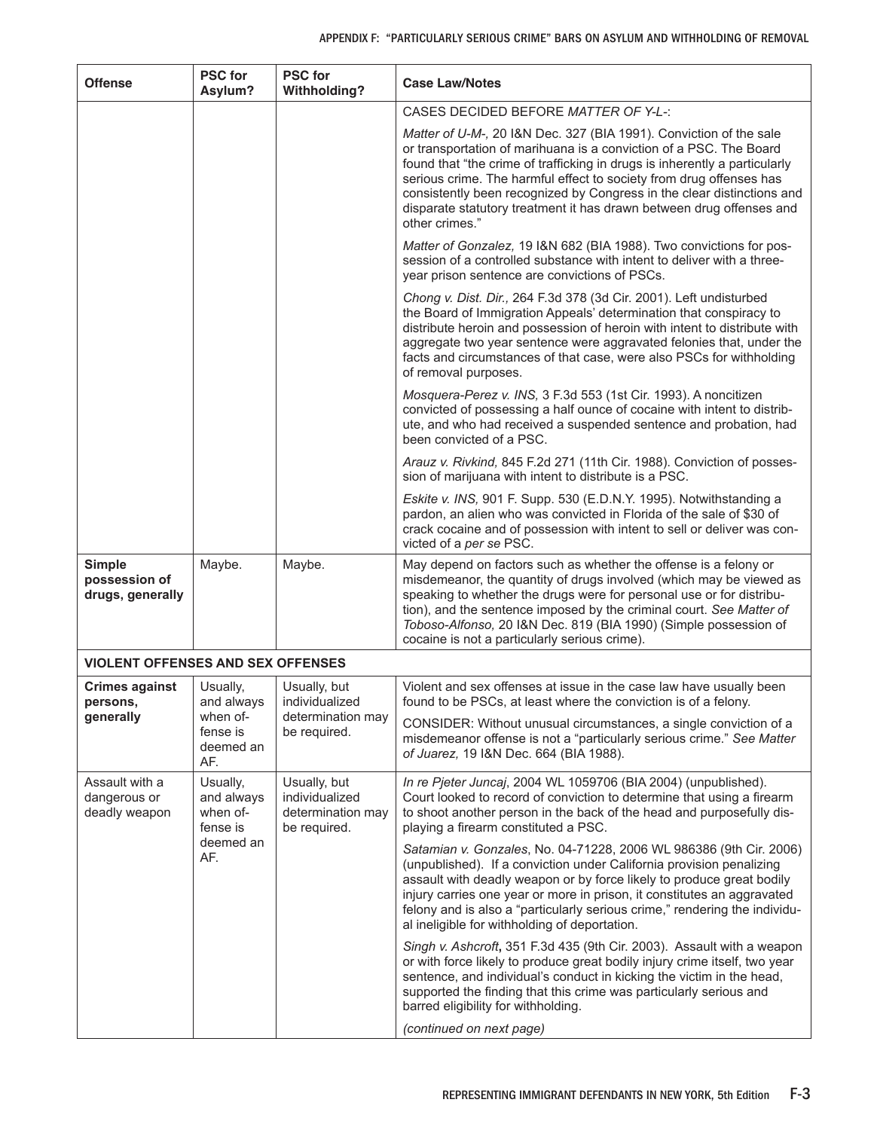## APPENDIX F: "PARTICULARLY SERIOUS CRIME" BARS ON ASYLUM AND WITHHOLDING OF REMOVAL

| <b>Offense</b>                                  | <b>PSC</b> for<br>Asylum?                                          | <b>PSC</b> for<br>Withholding?                                      | <b>Case Law/Notes</b>                                                                                                                                                                                                                                                                                                                                                                                                                                             |
|-------------------------------------------------|--------------------------------------------------------------------|---------------------------------------------------------------------|-------------------------------------------------------------------------------------------------------------------------------------------------------------------------------------------------------------------------------------------------------------------------------------------------------------------------------------------------------------------------------------------------------------------------------------------------------------------|
|                                                 |                                                                    |                                                                     | CASES DECIDED BEFORE MATTER OF Y-L-:                                                                                                                                                                                                                                                                                                                                                                                                                              |
|                                                 |                                                                    |                                                                     | Matter of U-M-, 20 I&N Dec. 327 (BIA 1991). Conviction of the sale<br>or transportation of marihuana is a conviction of a PSC. The Board<br>found that "the crime of trafficking in drugs is inherently a particularly<br>serious crime. The harmful effect to society from drug offenses has<br>consistently been recognized by Congress in the clear distinctions and<br>disparate statutory treatment it has drawn between drug offenses and<br>other crimes." |
|                                                 |                                                                    |                                                                     | Matter of Gonzalez, 19 I&N 682 (BIA 1988). Two convictions for pos-<br>session of a controlled substance with intent to deliver with a three-<br>year prison sentence are convictions of PSCs.                                                                                                                                                                                                                                                                    |
|                                                 |                                                                    |                                                                     | Chong v. Dist. Dir., 264 F.3d 378 (3d Cir. 2001). Left undisturbed<br>the Board of Immigration Appeals' determination that conspiracy to<br>distribute heroin and possession of heroin with intent to distribute with<br>aggregate two year sentence were aggravated felonies that, under the<br>facts and circumstances of that case, were also PSCs for withholding<br>of removal purposes.                                                                     |
|                                                 |                                                                    |                                                                     | Mosquera-Perez v. INS, 3 F.3d 553 (1st Cir. 1993). A noncitizen<br>convicted of possessing a half ounce of cocaine with intent to distrib-<br>ute, and who had received a suspended sentence and probation, had<br>been convicted of a PSC.                                                                                                                                                                                                                       |
|                                                 |                                                                    |                                                                     | Arauz v. Rivkind, 845 F.2d 271 (11th Cir. 1988). Conviction of posses-<br>sion of marijuana with intent to distribute is a PSC.                                                                                                                                                                                                                                                                                                                                   |
|                                                 |                                                                    |                                                                     | Eskite v. INS, 901 F. Supp. 530 (E.D.N.Y. 1995). Notwithstanding a<br>pardon, an alien who was convicted in Florida of the sale of \$30 of<br>crack cocaine and of possession with intent to sell or deliver was con-<br>victed of a per se PSC.                                                                                                                                                                                                                  |
| Simple<br>possession of<br>drugs, generally     | Maybe.                                                             | Maybe.                                                              | May depend on factors such as whether the offense is a felony or<br>misdemeanor, the quantity of drugs involved (which may be viewed as<br>speaking to whether the drugs were for personal use or for distribu-<br>tion), and the sentence imposed by the criminal court. See Matter of<br>Toboso-Alfonso, 20 I&N Dec. 819 (BIA 1990) (Simple possession of<br>cocaine is not a particularly serious crime).                                                      |
| <b>VIOLENT OFFENSES AND SEX OFFENSES</b>        |                                                                    |                                                                     |                                                                                                                                                                                                                                                                                                                                                                                                                                                                   |
| <b>Crimes against</b><br>persons,               | Usually,<br>and always                                             | Usually, but<br>individualized                                      | Violent and sex offenses at issue in the case law have usually been<br>found to be PSCs, at least where the conviction is of a felony.                                                                                                                                                                                                                                                                                                                            |
| generally                                       | when of-<br>fense is<br>deemed an<br>AF.                           | determination may<br>be required.                                   | CONSIDER: Without unusual circumstances, a single conviction of a<br>misdemeanor offense is not a "particularly serious crime." See Matter<br>of Juarez, 19 I&N Dec. 664 (BIA 1988).                                                                                                                                                                                                                                                                              |
| Assault with a<br>dangerous or<br>deadly weapon | Usually,<br>and always<br>when of-<br>fense is<br>deemed an<br>AF. | Usually, but<br>individualized<br>determination may<br>be required. | In re Pjeter Juncaj, 2004 WL 1059706 (BIA 2004) (unpublished).<br>Court looked to record of conviction to determine that using a firearm<br>to shoot another person in the back of the head and purposefully dis-<br>playing a firearm constituted a PSC.                                                                                                                                                                                                         |
|                                                 |                                                                    |                                                                     | Satamian v. Gonzales, No. 04-71228, 2006 WL 986386 (9th Cir. 2006)<br>(unpublished). If a conviction under California provision penalizing<br>assault with deadly weapon or by force likely to produce great bodily<br>injury carries one year or more in prison, it constitutes an aggravated<br>felony and is also a "particularly serious crime," rendering the individu-<br>al ineligible for withholding of deportation.                                     |
|                                                 |                                                                    |                                                                     | Singh v. Ashcroft, 351 F.3d 435 (9th Cir. 2003). Assault with a weapon<br>or with force likely to produce great bodily injury crime itself, two year<br>sentence, and individual's conduct in kicking the victim in the head,<br>supported the finding that this crime was particularly serious and<br>barred eligibility for withholding.                                                                                                                        |
|                                                 |                                                                    |                                                                     | (continued on next page)                                                                                                                                                                                                                                                                                                                                                                                                                                          |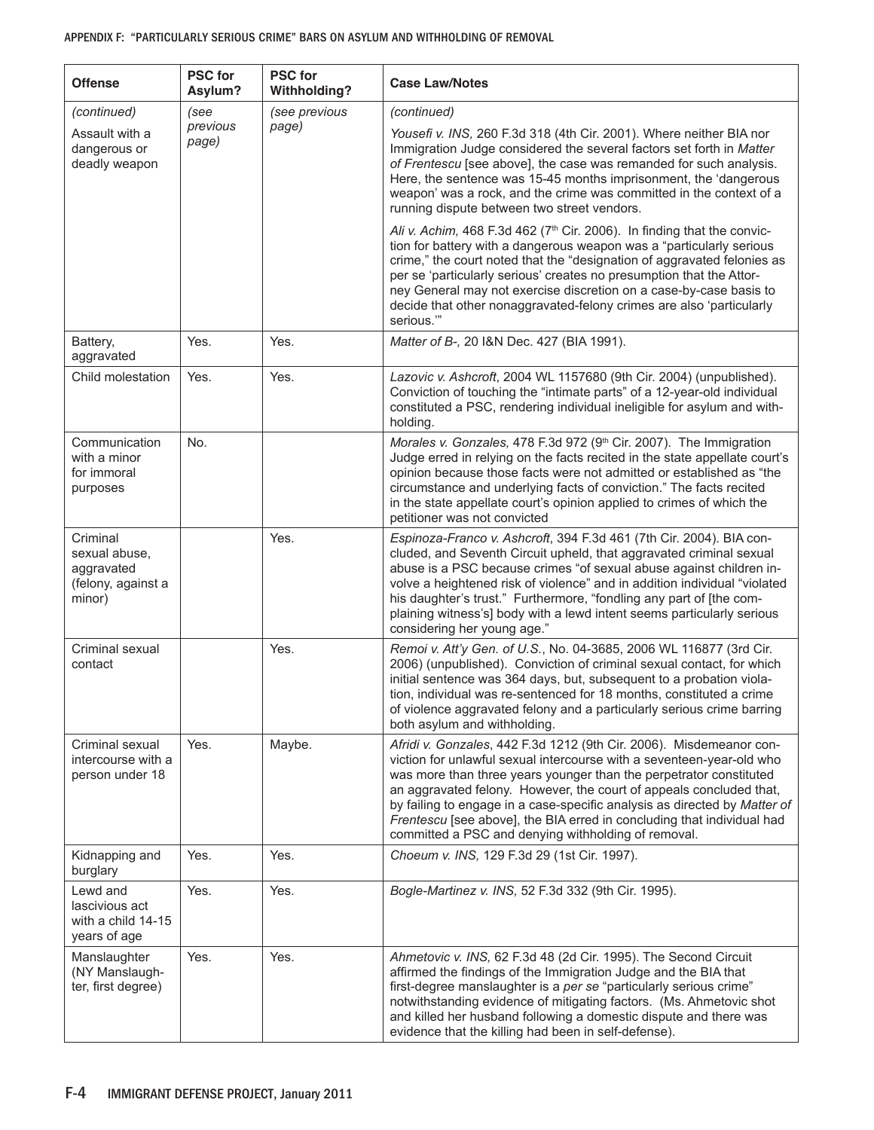| <b>Offense</b>                                                          | <b>PSC for</b><br>Asylum? | <b>PSC</b> for<br><b>Withholding?</b> | <b>Case Law/Notes</b>                                                                                                                                                                                                                                                                                                                                                                                                                                                                                   |
|-------------------------------------------------------------------------|---------------------------|---------------------------------------|---------------------------------------------------------------------------------------------------------------------------------------------------------------------------------------------------------------------------------------------------------------------------------------------------------------------------------------------------------------------------------------------------------------------------------------------------------------------------------------------------------|
| (continued)                                                             | (see                      | (see previous                         | (continued)                                                                                                                                                                                                                                                                                                                                                                                                                                                                                             |
| Assault with a<br>dangerous or<br>deadly weapon                         | previous<br>page)         | page)                                 | Yousefi v. INS, 260 F.3d 318 (4th Cir. 2001). Where neither BIA nor<br>Immigration Judge considered the several factors set forth in Matter<br>of Frentescu [see above], the case was remanded for such analysis.<br>Here, the sentence was 15-45 months imprisonment, the 'dangerous'<br>weapon' was a rock, and the crime was committed in the context of a<br>running dispute between two street vendors.                                                                                            |
|                                                                         |                           |                                       | Ali v. Achim, 468 F.3d 462 (7 <sup>th</sup> Cir. 2006). In finding that the convic-<br>tion for battery with a dangerous weapon was a "particularly serious<br>crime," the court noted that the "designation of aggravated felonies as<br>per se 'particularly serious' creates no presumption that the Attor-<br>ney General may not exercise discretion on a case-by-case basis to<br>decide that other nonaggravated-felony crimes are also 'particularly<br>serious."                               |
| Battery,<br>aggravated                                                  | Yes.                      | Yes.                                  | Matter of B-, 20 I&N Dec. 427 (BIA 1991).                                                                                                                                                                                                                                                                                                                                                                                                                                                               |
| Child molestation                                                       | Yes.                      | Yes.                                  | Lazovic v. Ashcroft, 2004 WL 1157680 (9th Cir. 2004) (unpublished).<br>Conviction of touching the "intimate parts" of a 12-year-old individual<br>constituted a PSC, rendering individual ineligible for asylum and with-<br>holding.                                                                                                                                                                                                                                                                   |
| Communication<br>with a minor<br>for immoral<br>purposes                | No.                       |                                       | Morales v. Gonzales, 478 F.3d 972 (9th Cir. 2007). The Immigration<br>Judge erred in relying on the facts recited in the state appellate court's<br>opinion because those facts were not admitted or established as "the<br>circumstance and underlying facts of conviction." The facts recited<br>in the state appellate court's opinion applied to crimes of which the<br>petitioner was not convicted                                                                                                |
| Criminal<br>sexual abuse,<br>aggravated<br>(felony, against a<br>minor) |                           | Yes.                                  | Espinoza-Franco v. Ashcroft, 394 F.3d 461 (7th Cir. 2004). BIA con-<br>cluded, and Seventh Circuit upheld, that aggravated criminal sexual<br>abuse is a PSC because crimes "of sexual abuse against children in-<br>volve a heightened risk of violence" and in addition individual "violated<br>his daughter's trust." Furthermore, "fondling any part of [the com-<br>plaining witness's] body with a lewd intent seems particularly serious<br>considering her young age."                          |
| Criminal sexual<br>contact                                              |                           | Yes.                                  | Remoi v. Att'y Gen. of U.S., No. 04-3685, 2006 WL 116877 (3rd Cir.<br>2006) (unpublished). Conviction of criminal sexual contact, for which<br>initial sentence was 364 days, but, subsequent to a probation viola-<br>tion, individual was re-sentenced for 18 months, constituted a crime<br>of violence aggravated felony and a particularly serious crime barring<br>both asylum and withholding.                                                                                                   |
| Criminal sexual<br>intercourse with a<br>person under 18                | Yes.                      | Maybe.                                | Afridi v. Gonzales, 442 F.3d 1212 (9th Cir. 2006). Misdemeanor con-<br>viction for unlawful sexual intercourse with a seventeen-year-old who<br>was more than three years younger than the perpetrator constituted<br>an aggravated felony. However, the court of appeals concluded that,<br>by failing to engage in a case-specific analysis as directed by Matter of<br>Frentescu [see above], the BIA erred in concluding that individual had<br>committed a PSC and denying withholding of removal. |
| Kidnapping and<br>burglary                                              | Yes.                      | Yes.                                  | Choeum v. INS, 129 F.3d 29 (1st Cir. 1997).                                                                                                                                                                                                                                                                                                                                                                                                                                                             |
| Lewd and<br>lascivious act<br>with a child 14-15<br>years of age        | Yes.                      | Yes.                                  | Bogle-Martinez v. INS, 52 F.3d 332 (9th Cir. 1995).                                                                                                                                                                                                                                                                                                                                                                                                                                                     |
| Manslaughter<br>(NY Manslaugh-<br>ter, first degree)                    | Yes.                      | Yes.                                  | Ahmetovic v. INS, 62 F.3d 48 (2d Cir. 1995). The Second Circuit<br>affirmed the findings of the Immigration Judge and the BIA that<br>first-degree manslaughter is a per se "particularly serious crime"<br>notwithstanding evidence of mitigating factors. (Ms. Ahmetovic shot<br>and killed her husband following a domestic dispute and there was<br>evidence that the killing had been in self-defense).                                                                                            |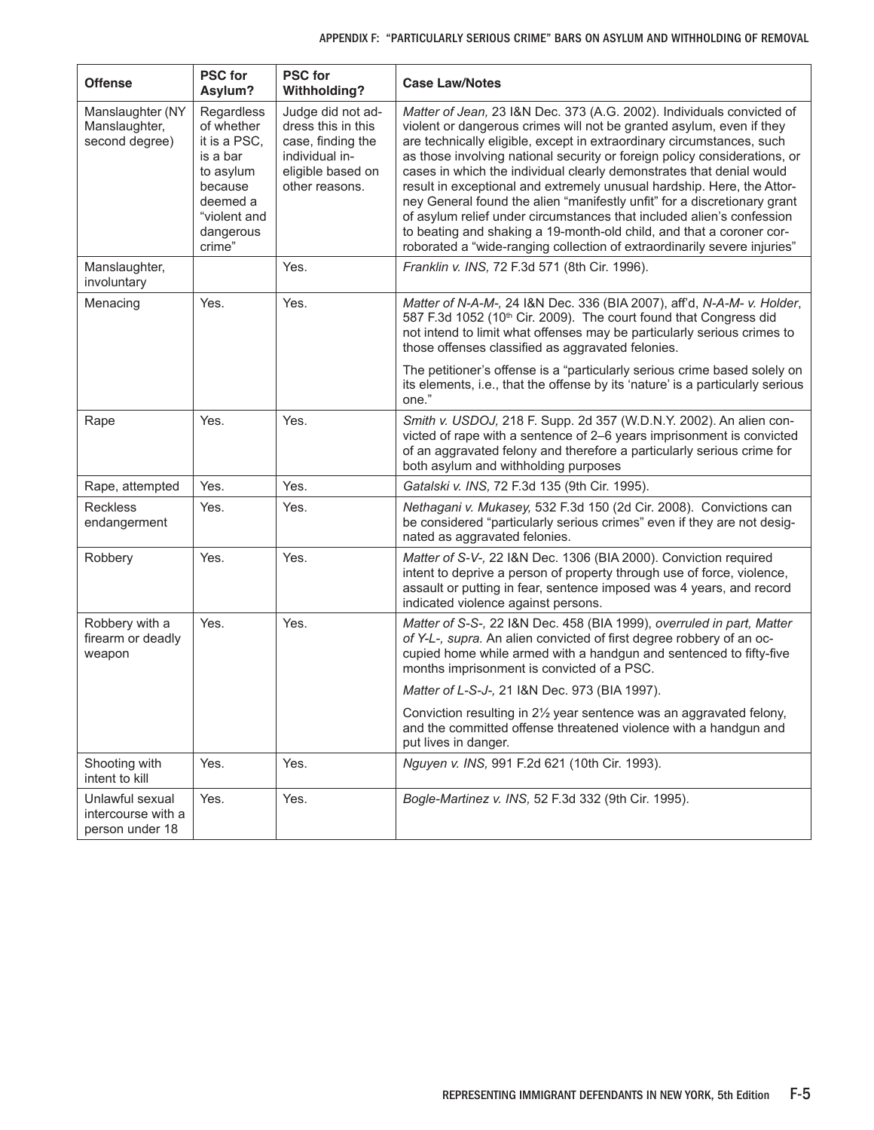| Offense                                                  | <b>PSC</b> for<br>Asylum?                                                                                                       | <b>PSC</b> for<br><b>Withholding?</b>                                                                                 | <b>Case Law/Notes</b>                                                                                                                                                                                                                                                                                                                                                                                                                                                                                                                                                                                                                                                                                                                                          |
|----------------------------------------------------------|---------------------------------------------------------------------------------------------------------------------------------|-----------------------------------------------------------------------------------------------------------------------|----------------------------------------------------------------------------------------------------------------------------------------------------------------------------------------------------------------------------------------------------------------------------------------------------------------------------------------------------------------------------------------------------------------------------------------------------------------------------------------------------------------------------------------------------------------------------------------------------------------------------------------------------------------------------------------------------------------------------------------------------------------|
| Manslaughter (NY<br>Manslaughter,<br>second degree)      | Regardless<br>of whether<br>it is a PSC.<br>is a bar<br>to asylum<br>because<br>deemed a<br>"violent and<br>dangerous<br>crime" | Judge did not ad-<br>dress this in this<br>case, finding the<br>individual in-<br>eligible based on<br>other reasons. | Matter of Jean, 23 I&N Dec. 373 (A.G. 2002). Individuals convicted of<br>violent or dangerous crimes will not be granted asylum, even if they<br>are technically eligible, except in extraordinary circumstances, such<br>as those involving national security or foreign policy considerations, or<br>cases in which the individual clearly demonstrates that denial would<br>result in exceptional and extremely unusual hardship. Here, the Attor-<br>ney General found the alien "manifestly unfit" for a discretionary grant<br>of asylum relief under circumstances that included alien's confession<br>to beating and shaking a 19-month-old child, and that a coroner cor-<br>roborated a "wide-ranging collection of extraordinarily severe injuries" |
| Manslaughter,<br>involuntary                             |                                                                                                                                 | Yes.                                                                                                                  | Franklin v. INS, 72 F.3d 571 (8th Cir. 1996).                                                                                                                                                                                                                                                                                                                                                                                                                                                                                                                                                                                                                                                                                                                  |
| Menacing                                                 | Yes.                                                                                                                            | Yes.                                                                                                                  | Matter of N-A-M-, 24 I&N Dec. 336 (BIA 2007), aff'd, N-A-M- v. Holder,<br>587 F.3d 1052 (10th Cir. 2009). The court found that Congress did<br>not intend to limit what offenses may be particularly serious crimes to<br>those offenses classified as aggravated felonies.                                                                                                                                                                                                                                                                                                                                                                                                                                                                                    |
|                                                          |                                                                                                                                 |                                                                                                                       | The petitioner's offense is a "particularly serious crime based solely on<br>its elements, i.e., that the offense by its 'nature' is a particularly serious<br>one."                                                                                                                                                                                                                                                                                                                                                                                                                                                                                                                                                                                           |
| Rape                                                     | Yes.                                                                                                                            | Yes.                                                                                                                  | Smith v. USDOJ, 218 F. Supp. 2d 357 (W.D.N.Y. 2002). An alien con-<br>victed of rape with a sentence of 2–6 years imprisonment is convicted<br>of an aggravated felony and therefore a particularly serious crime for<br>both asylum and withholding purposes                                                                                                                                                                                                                                                                                                                                                                                                                                                                                                  |
| Rape, attempted                                          | Yes.                                                                                                                            | Yes.                                                                                                                  | Gatalski v. INS, 72 F.3d 135 (9th Cir. 1995).                                                                                                                                                                                                                                                                                                                                                                                                                                                                                                                                                                                                                                                                                                                  |
| <b>Reckless</b><br>endangerment                          | Yes.                                                                                                                            | Yes.                                                                                                                  | Nethagani v. Mukasey, 532 F.3d 150 (2d Cir. 2008). Convictions can<br>be considered "particularly serious crimes" even if they are not desig-<br>nated as aggravated felonies.                                                                                                                                                                                                                                                                                                                                                                                                                                                                                                                                                                                 |
| Robbery                                                  | Yes.                                                                                                                            | Yes.                                                                                                                  | Matter of S-V-, 22 I&N Dec. 1306 (BIA 2000). Conviction required<br>intent to deprive a person of property through use of force, violence,<br>assault or putting in fear, sentence imposed was 4 years, and record<br>indicated violence against persons.                                                                                                                                                                                                                                                                                                                                                                                                                                                                                                      |
| Robbery with a<br>firearm or deadly<br>weapon            | Yes.                                                                                                                            | Yes.                                                                                                                  | Matter of S-S-, 22 I&N Dec. 458 (BIA 1999), overruled in part, Matter<br>of Y-L-, supra. An alien convicted of first degree robbery of an oc-<br>cupied home while armed with a handgun and sentenced to fifty-five<br>months imprisonment is convicted of a PSC.                                                                                                                                                                                                                                                                                                                                                                                                                                                                                              |
|                                                          |                                                                                                                                 |                                                                                                                       | Matter of L-S-J-, 21 I&N Dec. 973 (BIA 1997).                                                                                                                                                                                                                                                                                                                                                                                                                                                                                                                                                                                                                                                                                                                  |
|                                                          |                                                                                                                                 |                                                                                                                       | Conviction resulting in 21/2 year sentence was an aggravated felony,<br>and the committed offense threatened violence with a handgun and<br>put lives in danger.                                                                                                                                                                                                                                                                                                                                                                                                                                                                                                                                                                                               |
| Shooting with<br>intent to kill                          | Yes.                                                                                                                            | Yes.                                                                                                                  | Nguyen v. INS, 991 F.2d 621 (10th Cir. 1993).                                                                                                                                                                                                                                                                                                                                                                                                                                                                                                                                                                                                                                                                                                                  |
| Unlawful sexual<br>intercourse with a<br>person under 18 | Yes.                                                                                                                            | Yes.                                                                                                                  | Bogle-Martinez v. INS, 52 F.3d 332 (9th Cir. 1995).                                                                                                                                                                                                                                                                                                                                                                                                                                                                                                                                                                                                                                                                                                            |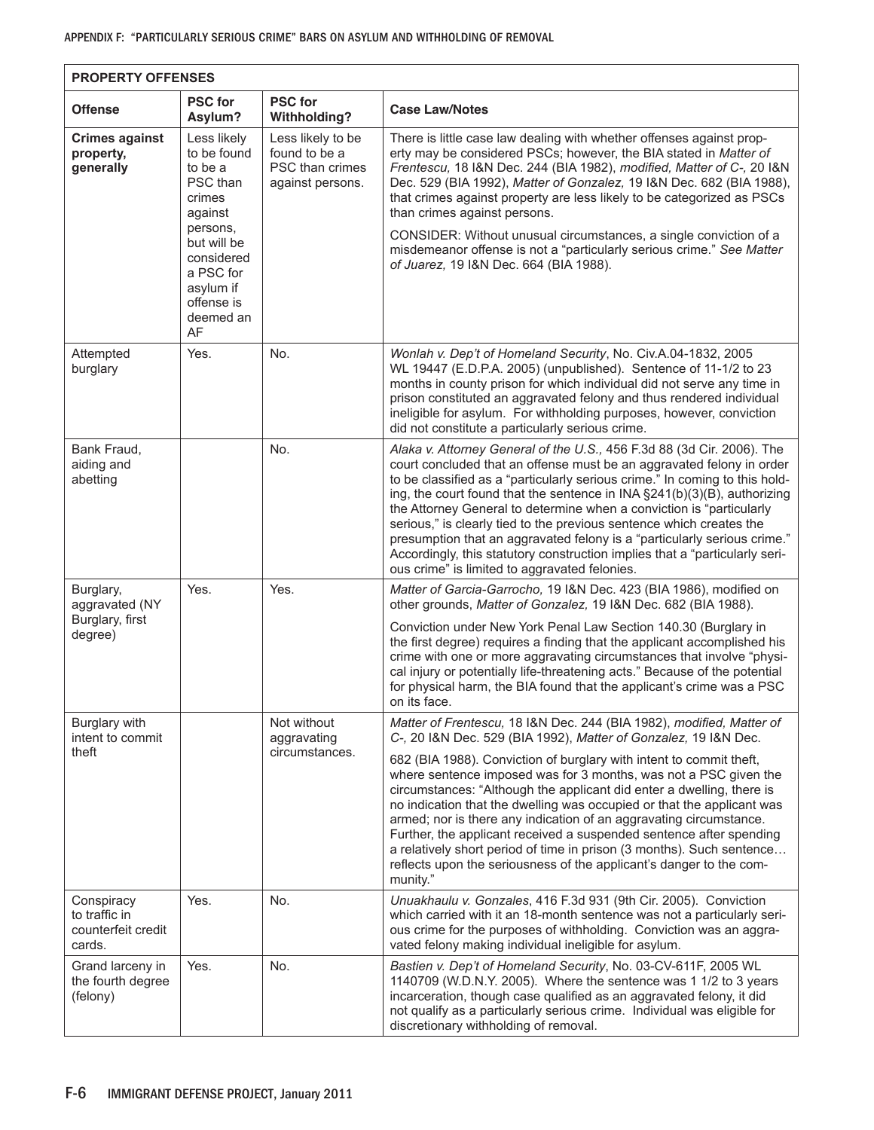| <b>PROPERTY OFFENSES</b>                                    |                                                                                                                                                                            |                                                                           |                                                                                                                                                                                                                                                                                                                                                                                                                                                                                                                                                                                                                                                                        |
|-------------------------------------------------------------|----------------------------------------------------------------------------------------------------------------------------------------------------------------------------|---------------------------------------------------------------------------|------------------------------------------------------------------------------------------------------------------------------------------------------------------------------------------------------------------------------------------------------------------------------------------------------------------------------------------------------------------------------------------------------------------------------------------------------------------------------------------------------------------------------------------------------------------------------------------------------------------------------------------------------------------------|
| <b>Offense</b>                                              | <b>PSC for</b><br>Asylum?                                                                                                                                                  | <b>PSC</b> for<br><b>Withholding?</b>                                     | <b>Case Law/Notes</b>                                                                                                                                                                                                                                                                                                                                                                                                                                                                                                                                                                                                                                                  |
| <b>Crimes against</b><br>property,<br>generally             | Less likely<br>to be found<br>to be a<br>PSC than<br>crimes<br>against<br>persons,<br>but will be<br>considered<br>a PSC for<br>asylum if<br>offense is<br>deemed an<br>AF | Less likely to be<br>found to be a<br>PSC than crimes<br>against persons. | There is little case law dealing with whether offenses against prop-<br>erty may be considered PSCs; however, the BIA stated in Matter of<br>Frentescu, 18 I&N Dec. 244 (BIA 1982), modified, Matter of C-, 20 I&N<br>Dec. 529 (BIA 1992), Matter of Gonzalez, 19 I&N Dec. 682 (BIA 1988),<br>that crimes against property are less likely to be categorized as PSCs<br>than crimes against persons.<br>CONSIDER: Without unusual circumstances, a single conviction of a<br>misdemeanor offense is not a "particularly serious crime." See Matter<br>of Juarez, 19 I&N Dec. 664 (BIA 1988).                                                                           |
| Attempted<br>burglary                                       | Yes.                                                                                                                                                                       | No.                                                                       | Wonlah v. Dep't of Homeland Security, No. Civ.A.04-1832, 2005<br>WL 19447 (E.D.P.A. 2005) (unpublished). Sentence of 11-1/2 to 23<br>months in county prison for which individual did not serve any time in<br>prison constituted an aggravated felony and thus rendered individual<br>ineligible for asylum. For withholding purposes, however, conviction<br>did not constitute a particularly serious crime.                                                                                                                                                                                                                                                        |
| Bank Fraud,<br>aiding and<br>abetting                       |                                                                                                                                                                            | No.                                                                       | Alaka v. Attorney General of the U.S., 456 F.3d 88 (3d Cir. 2006). The<br>court concluded that an offense must be an aggravated felony in order<br>to be classified as a "particularly serious crime." In coming to this hold-<br>ing, the court found that the sentence in INA §241(b)(3)(B), authorizing<br>the Attorney General to determine when a conviction is "particularly<br>serious," is clearly tied to the previous sentence which creates the<br>presumption that an aggravated felony is a "particularly serious crime."<br>Accordingly, this statutory construction implies that a "particularly seri-<br>ous crime" is limited to aggravated felonies. |
| Burglary,<br>aggravated (NY                                 | Yes.                                                                                                                                                                       | Yes.                                                                      | Matter of Garcia-Garrocho, 19 I&N Dec. 423 (BIA 1986), modified on<br>other grounds, Matter of Gonzalez, 19 I&N Dec. 682 (BIA 1988).                                                                                                                                                                                                                                                                                                                                                                                                                                                                                                                                   |
| Burglary, first<br>degree)                                  |                                                                                                                                                                            |                                                                           | Conviction under New York Penal Law Section 140.30 (Burglary in<br>the first degree) requires a finding that the applicant accomplished his<br>crime with one or more aggravating circumstances that involve "physi-<br>cal injury or potentially life-threatening acts." Because of the potential<br>for physical harm, the BIA found that the applicant's crime was a PSC<br>on its face.                                                                                                                                                                                                                                                                            |
| Burglary with<br>intent to commit                           |                                                                                                                                                                            | Not without<br>aggravating                                                | Matter of Frentescu, 18 I&N Dec. 244 (BIA 1982), modified, Matter of<br>C-, 20 I&N Dec. 529 (BIA 1992), Matter of Gonzalez, 19 I&N Dec.                                                                                                                                                                                                                                                                                                                                                                                                                                                                                                                                |
| theft                                                       |                                                                                                                                                                            | circumstances.                                                            | 682 (BIA 1988). Conviction of burglary with intent to commit theft,<br>where sentence imposed was for 3 months, was not a PSC given the<br>circumstances: "Although the applicant did enter a dwelling, there is<br>no indication that the dwelling was occupied or that the applicant was<br>armed; nor is there any indication of an aggravating circumstance.<br>Further, the applicant received a suspended sentence after spending<br>a relatively short period of time in prison (3 months). Such sentence<br>reflects upon the seriousness of the applicant's danger to the com-<br>munity."                                                                    |
| Conspiracy<br>to traffic in<br>counterfeit credit<br>cards. | Yes.                                                                                                                                                                       | No.                                                                       | Unuakhaulu v. Gonzales, 416 F.3d 931 (9th Cir. 2005). Conviction<br>which carried with it an 18-month sentence was not a particularly seri-<br>ous crime for the purposes of withholding. Conviction was an aggra-<br>vated felony making individual ineligible for asylum.                                                                                                                                                                                                                                                                                                                                                                                            |
| Grand larceny in<br>the fourth degree<br>(felony)           | Yes.                                                                                                                                                                       | No.                                                                       | Bastien v. Dep't of Homeland Security, No. 03-CV-611F, 2005 WL<br>1140709 (W.D.N.Y. 2005). Where the sentence was 1 1/2 to 3 years<br>incarceration, though case qualified as an aggravated felony, it did<br>not qualify as a particularly serious crime. Individual was eligible for<br>discretionary withholding of removal.                                                                                                                                                                                                                                                                                                                                        |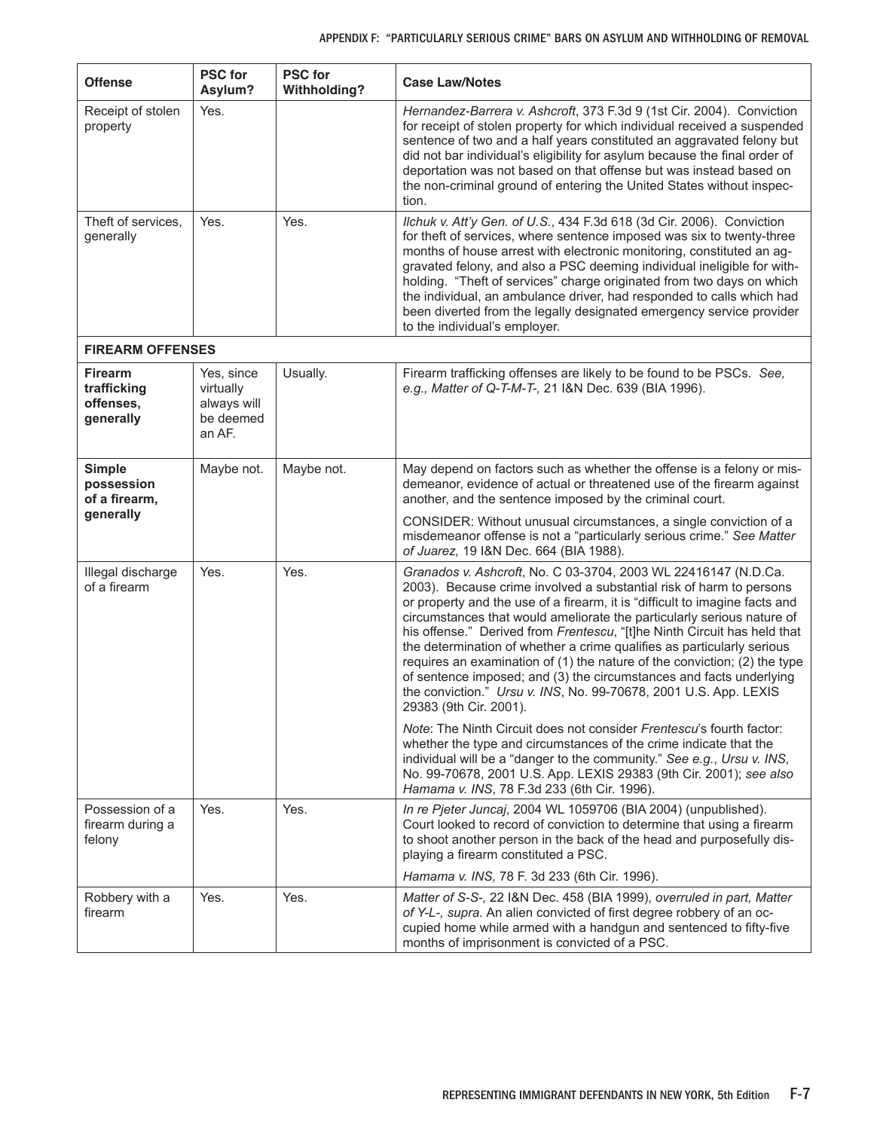| <b>Offense</b>                                          | <b>PSC for</b><br>Asylum?                                     | <b>PSC</b> for<br>Withholding? | <b>Case Law/Notes</b>                                                                                                                                                                                                                                                                                                                                                                                                                                                                                                                                                                                                                                                                                  |
|---------------------------------------------------------|---------------------------------------------------------------|--------------------------------|--------------------------------------------------------------------------------------------------------------------------------------------------------------------------------------------------------------------------------------------------------------------------------------------------------------------------------------------------------------------------------------------------------------------------------------------------------------------------------------------------------------------------------------------------------------------------------------------------------------------------------------------------------------------------------------------------------|
| Receipt of stolen<br>property                           | Yes.                                                          |                                | Hernandez-Barrera v. Ashcroft, 373 F.3d 9 (1st Cir. 2004). Conviction<br>for receipt of stolen property for which individual received a suspended<br>sentence of two and a half years constituted an aggravated felony but<br>did not bar individual's eligibility for asylum because the final order of<br>deportation was not based on that offense but was instead based on<br>the non-criminal ground of entering the United States without inspec-<br>tion.                                                                                                                                                                                                                                       |
| Theft of services,<br>generally                         | Yes.                                                          | Yes.                           | Ilchuk v. Att'y Gen. of U.S., 434 F.3d 618 (3d Cir. 2006). Conviction<br>for theft of services, where sentence imposed was six to twenty-three<br>months of house arrest with electronic monitoring, constituted an ag-<br>gravated felony, and also a PSC deeming individual ineligible for with-<br>holding. "Theft of services" charge originated from two days on which<br>the individual, an ambulance driver, had responded to calls which had<br>been diverted from the legally designated emergency service provider<br>to the individual's employer.                                                                                                                                          |
| <b>FIREARM OFFENSES</b>                                 |                                                               |                                |                                                                                                                                                                                                                                                                                                                                                                                                                                                                                                                                                                                                                                                                                                        |
| <b>Firearm</b><br>trafficking<br>offenses,<br>generally | Yes, since<br>virtually<br>always will<br>be deemed<br>an AF. | Usually.                       | Firearm trafficking offenses are likely to be found to be PSCs. See,<br>e.g., Matter of Q-T-M-T-, 21 I&N Dec. 639 (BIA 1996).                                                                                                                                                                                                                                                                                                                                                                                                                                                                                                                                                                          |
| <b>Simple</b><br>possession<br>of a firearm,            | Maybe not.                                                    | Maybe not.                     | May depend on factors such as whether the offense is a felony or mis-<br>demeanor, evidence of actual or threatened use of the firearm against<br>another, and the sentence imposed by the criminal court.                                                                                                                                                                                                                                                                                                                                                                                                                                                                                             |
| generally                                               |                                                               |                                | CONSIDER: Without unusual circumstances, a single conviction of a<br>misdemeanor offense is not a "particularly serious crime." See Matter<br>of Juarez, 19 I&N Dec. 664 (BIA 1988).                                                                                                                                                                                                                                                                                                                                                                                                                                                                                                                   |
| Illegal discharge<br>of a firearm                       | Yes.                                                          | Yes.                           | Granados v. Ashcroft, No. C 03-3704, 2003 WL 22416147 (N.D.Ca.<br>2003). Because crime involved a substantial risk of harm to persons<br>or property and the use of a firearm, it is "difficult to imagine facts and<br>circumstances that would ameliorate the particularly serious nature of<br>his offense." Derived from Frentescu, "[t]he Ninth Circuit has held that<br>the determination of whether a crime qualifies as particularly serious<br>requires an examination of (1) the nature of the conviction; (2) the type<br>of sentence imposed; and (3) the circumstances and facts underlying<br>the conviction." Ursu v. INS, No. 99-70678, 2001 U.S. App. LEXIS<br>29383 (9th Cir. 2001). |
|                                                         |                                                               |                                | <i>Note:</i> The Ninth Circuit does not consider Frentescu's fourth factor:<br>whether the type and circumstances of the crime indicate that the<br>individual will be a "danger to the community." See e.g., Ursu v. INS,<br>No. 99-70678, 2001 U.S. App. LEXIS 29383 (9th Cir. 2001); see also<br>Hamama v. INS, 78 F.3d 233 (6th Cir. 1996).                                                                                                                                                                                                                                                                                                                                                        |
| Possession of a<br>firearm during a<br>felony           | Yes.                                                          | Yes.                           | In re Pjeter Juncaj, 2004 WL 1059706 (BIA 2004) (unpublished).<br>Court looked to record of conviction to determine that using a firearm<br>to shoot another person in the back of the head and purposefully dis-<br>playing a firearm constituted a PSC.                                                                                                                                                                                                                                                                                                                                                                                                                                              |
|                                                         |                                                               |                                | Hamama v. INS, 78 F. 3d 233 (6th Cir. 1996).                                                                                                                                                                                                                                                                                                                                                                                                                                                                                                                                                                                                                                                           |
| Robbery with a<br>firearm                               | Yes.                                                          | Yes.                           | Matter of S-S-, 22 I&N Dec. 458 (BIA 1999), overruled in part, Matter<br>of Y-L-, supra. An alien convicted of first degree robbery of an oc-<br>cupied home while armed with a handgun and sentenced to fifty-five<br>months of imprisonment is convicted of a PSC.                                                                                                                                                                                                                                                                                                                                                                                                                                   |